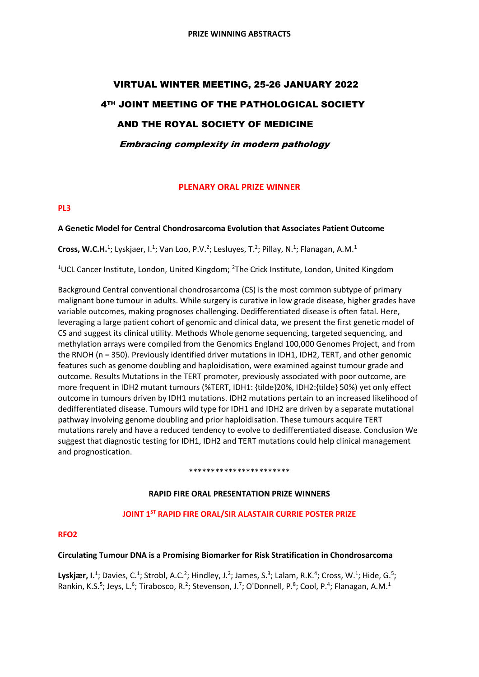# VIRTUAL WINTER MEETING, 25-26 JANUARY 2022 4TH JOINT MEETING OF THE PATHOLOGICAL SOCIETY AND THE ROYAL SOCIETY OF MEDICINE Embracing complexity in modern pathology

## **PLENARY ORAL PRIZE WINNER**

## **PL3**

## **A Genetic Model for Central Chondrosarcoma Evolution that Associates Patient Outcome**

Cross, W.C.H.<sup>1</sup>; Lyskjaer, I.<sup>1</sup>; Van Loo, P.V.<sup>2</sup>; Lesluyes, T.<sup>2</sup>; Pillay, N.<sup>1</sup>; Flanagan, A.M.<sup>1</sup>

<sup>1</sup>UCL Cancer Institute, London, United Kingdom; <sup>2</sup>The Crick Institute, London, United Kingdom

Background Central conventional chondrosarcoma (CS) is the most common subtype of primary malignant bone tumour in adults. While surgery is curative in low grade disease, higher grades have variable outcomes, making prognoses challenging. Dedifferentiated disease is often fatal. Here, leveraging a large patient cohort of genomic and clinical data, we present the first genetic model of CS and suggest its clinical utility. Methods Whole genome sequencing, targeted sequencing, and methylation arrays were compiled from the Genomics England 100,000 Genomes Project, and from the RNOH (n = 350). Previously identified driver mutations in IDH1, IDH2, TERT, and other genomic features such as genome doubling and haploidisation, were examined against tumour grade and outcome. Results Mutations in the TERT promoter, previously associated with poor outcome, are more frequent in IDH2 mutant tumours (%TERT, IDH1: {tilde}20%, IDH2:{tilde} 50%) yet only effect outcome in tumours driven by IDH1 mutations. IDH2 mutations pertain to an increased likelihood of dedifferentiated disease. Tumours wild type for IDH1 and IDH2 are driven by a separate mutational pathway involving genome doubling and prior haploidisation. These tumours acquire TERT mutations rarely and have a reduced tendency to evolve to dedifferentiated disease. Conclusion We suggest that diagnostic testing for IDH1, IDH2 and TERT mutations could help clinical management and prognostication.

#### \*\*\*\*\*\*\*\*\*\*\*\*\*\*\*\*\*\*\*\*\*\*\*

## **RAPID FIRE ORAL PRESENTATION PRIZE WINNERS**

## **JOINT 1ST RAPID FIRE ORAL/SIR ALASTAIR CURRIE POSTER PRIZE**

#### **RFO2**

#### **Circulating Tumour DNA is a Promising Biomarker for Risk Stratification in Chondrosarcoma**

Lyskjær, I.<sup>1</sup>; Davies, C.<sup>1</sup>; Strobl, A.C.<sup>2</sup>; Hindley, J.<sup>2</sup>; James, S.<sup>3</sup>; Lalam, R.K.<sup>4</sup>; Cross, W.<sup>1</sup>; Hide, G.<sup>5</sup>; Rankin, K.S.<sup>5</sup>; Jeys, L.<sup>6</sup>; Tirabosco, R.<sup>2</sup>; Stevenson, J.<sup>7</sup>; O'Donnell, P.<sup>8</sup>; Cool, P.<sup>4</sup>; Flanagan, A.M.<sup>1</sup>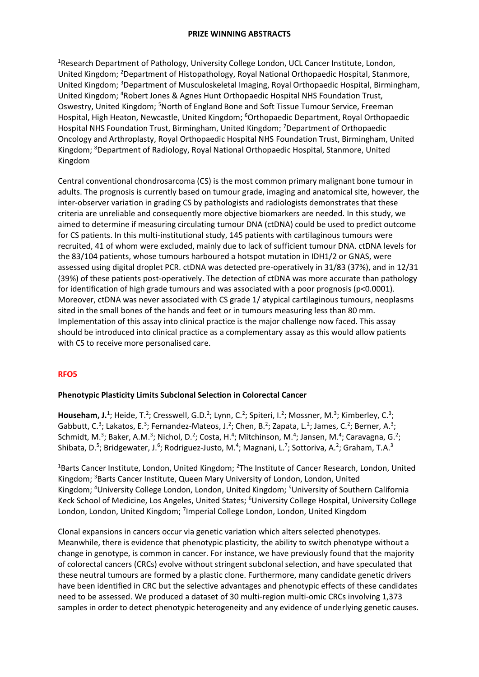<sup>1</sup>Research Department of Pathology, University College London, UCL Cancer Institute, London, United Kingdom; <sup>2</sup>Department of Histopathology, Royal National Orthopaedic Hospital, Stanmore, United Kingdom; <sup>3</sup>Department of Musculoskeletal Imaging, Royal Orthopaedic Hospital, Birmingham, United Kingdom; <sup>4</sup>Robert Jones & Agnes Hunt Orthopaedic Hospital NHS Foundation Trust, Oswestry, United Kingdom; <sup>5</sup>North of England Bone and Soft Tissue Tumour Service, Freeman Hospital, High Heaton, Newcastle, United Kingdom; <sup>6</sup>Orthopaedic Department, Royal Orthopaedic Hospital NHS Foundation Trust, Birmingham, United Kingdom; <sup>7</sup>Department of Orthopaedic Oncology and Arthroplasty, Royal Orthopaedic Hospital NHS Foundation Trust, Birmingham, United Kingdom; <sup>8</sup>Department of Radiology, Royal National Orthopaedic Hospital, Stanmore, United Kingdom

Central conventional chondrosarcoma (CS) is the most common primary malignant bone tumour in adults. The prognosis is currently based on tumour grade, imaging and anatomical site, however, the inter-observer variation in grading CS by pathologists and radiologists demonstrates that these criteria are unreliable and consequently more objective biomarkers are needed. In this study, we aimed to determine if measuring circulating tumour DNA (ctDNA) could be used to predict outcome for CS patients. In this multi-institutional study, 145 patients with cartilaginous tumours were recruited, 41 of whom were excluded, mainly due to lack of sufficient tumour DNA. ctDNA levels for the 83/104 patients, whose tumours harboured a hotspot mutation in IDH1/2 or GNAS, were assessed using digital droplet PCR. ctDNA was detected pre-operatively in 31/83 (37%), and in 12/31 (39%) of these patients post-operatively. The detection of ctDNA was more accurate than pathology for identification of high grade tumours and was associated with a poor prognosis ( $p$ <0.0001). Moreover, ctDNA was never associated with CS grade 1/ atypical cartilaginous tumours, neoplasms sited in the small bones of the hands and feet or in tumours measuring less than 80 mm. Implementation of this assay into clinical practice is the major challenge now faced. This assay should be introduced into clinical practice as a complementary assay as this would allow patients with CS to receive more personalised care.

## **RFO5**

## **Phenotypic Plasticity Limits Subclonal Selection in Colorectal Cancer**

Househam, J.<sup>1</sup>; Heide, T.<sup>2</sup>; Cresswell, G.D.<sup>2</sup>; Lynn, C.<sup>2</sup>; Spiteri, I.<sup>2</sup>; Mossner, M.<sup>3</sup>; Kimberley, C.<sup>3</sup>; Gabbutt, C.<sup>3</sup>; Lakatos, E.<sup>3</sup>; Fernandez-Mateos, J.<sup>2</sup>; Chen, B.<sup>2</sup>; Zapata, L.<sup>2</sup>; James, C.<sup>2</sup>; Berner, A.<sup>3</sup>; Schmidt, M.<sup>3</sup>; Baker, A.M.<sup>3</sup>; Nichol, D.<sup>2</sup>; Costa, H.<sup>4</sup>; Mitchinson, M.<sup>4</sup>; Jansen, M.<sup>4</sup>; Caravagna, G.<sup>2</sup>; Shibata, D.<sup>5</sup>; Bridgewater, J.<sup>6</sup>; Rodriguez-Justo, M.<sup>4</sup>; Magnani, L.<sup>7</sup>; Sottoriva, A.<sup>2</sup>; Graham, T.A.<sup>3</sup>

 $1B$ arts Cancer Institute, London, United Kingdom;  $2T$ he Institute of Cancer Research, London, United Kingdom; <sup>3</sup>Barts Cancer Institute, Queen Mary University of London, London, United Kingdom; <sup>4</sup>University College London, London, United Kingdom; <sup>5</sup>University of Southern California Keck School of Medicine, Los Angeles, United States; <sup>6</sup>University College Hospital, University College London, London, United Kingdom; <sup>7</sup>Imperial College London, London, United Kingdom

Clonal expansions in cancers occur via genetic variation which alters selected phenotypes. Meanwhile, there is evidence that phenotypic plasticity, the ability to switch phenotype without a change in genotype, is common in cancer. For instance, we have previously found that the majority of colorectal cancers (CRCs) evolve without stringent subclonal selection, and have speculated that these neutral tumours are formed by a plastic clone. Furthermore, many candidate genetic drivers have been identified in CRC but the selective advantages and phenotypic effects of these candidates need to be assessed. We produced a dataset of 30 multi-region multi-omic CRCs involving 1,373 samples in order to detect phenotypic heterogeneity and any evidence of underlying genetic causes.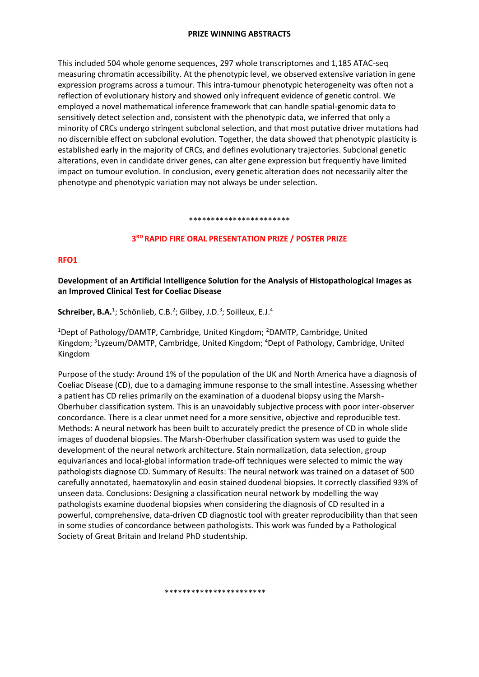This included 504 whole genome sequences, 297 whole transcriptomes and 1,185 ATAC-seq measuring chromatin accessibility. At the phenotypic level, we observed extensive variation in gene expression programs across a tumour. This intra-tumour phenotypic heterogeneity was often not a reflection of evolutionary history and showed only infrequent evidence of genetic control. We employed a novel mathematical inference framework that can handle spatial-genomic data to sensitively detect selection and, consistent with the phenotypic data, we inferred that only a minority of CRCs undergo stringent subclonal selection, and that most putative driver mutations had no discernible effect on subclonal evolution. Together, the data showed that phenotypic plasticity is established early in the majority of CRCs, and defines evolutionary trajectories. Subclonal genetic alterations, even in candidate driver genes, can alter gene expression but frequently have limited impact on tumour evolution. In conclusion, every genetic alteration does not necessarily alter the phenotype and phenotypic variation may not always be under selection.

#### \*\*\*\*\*\*\*\*\*\*\*\*\*\*\*\*\*\*\*\*\*\*\*

## **3 RD RAPID FIRE ORAL PRESENTATION PRIZE / POSTER PRIZE**

#### **RFO1**

**Development of an Artificial Intelligence Solution for the Analysis of Histopathological Images as an Improved Clinical Test for Coeliac Disease**

Schreiber, B.A.<sup>1</sup>; Schönlieb, C.B.<sup>2</sup>; Gilbey, J.D.<sup>3</sup>; Soilleux, E.J.<sup>4</sup>

<sup>1</sup>Dept of Pathology/DAMTP, Cambridge, United Kingdom; <sup>2</sup>DAMTP, Cambridge, United Kingdom; <sup>3</sup>Lyzeum/DAMTP, Cambridge, United Kingdom; <sup>4</sup>Dept of Pathology, Cambridge, United Kingdom

Purpose of the study: Around 1% of the population of the UK and North America have a diagnosis of Coeliac Disease (CD), due to a damaging immune response to the small intestine. Assessing whether a patient has CD relies primarily on the examination of a duodenal biopsy using the Marsh-Oberhuber classification system. This is an unavoidably subjective process with poor inter-observer concordance. There is a clear unmet need for a more sensitive, objective and reproducible test. Methods: A neural network has been built to accurately predict the presence of CD in whole slide images of duodenal biopsies. The Marsh-Oberhuber classification system was used to guide the development of the neural network architecture. Stain normalization, data selection, group equivariances and local-global information trade-off techniques were selected to mimic the way pathologists diagnose CD. Summary of Results: The neural network was trained on a dataset of 500 carefully annotated, haematoxylin and eosin stained duodenal biopsies. It correctly classified 93% of unseen data. Conclusions: Designing a classification neural network by modelling the way pathologists examine duodenal biopsies when considering the diagnosis of CD resulted in a powerful, comprehensive, data-driven CD diagnostic tool with greater reproducibility than that seen in some studies of concordance between pathologists. This work was funded by a Pathological Society of Great Britain and Ireland PhD studentship.

#### \*\*\*\*\*\*\*\*\*\*\*\*\*\*\*\*\*\*\*\*\*\*\*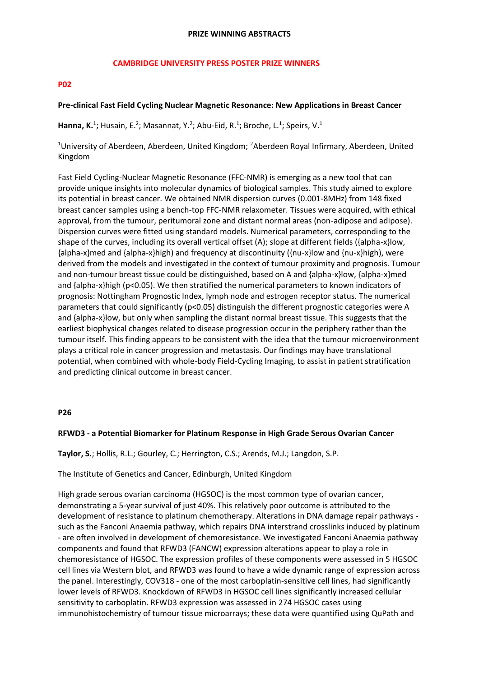#### **CAMBRIDGE UNIVERSITY PRESS POSTER PRIZE WINNERS**

#### **P02**

#### **Pre-clinical Fast Field Cycling Nuclear Magnetic Resonance: New Applications in Breast Cancer**

Hanna, K.<sup>1</sup>; Husain, E.<sup>2</sup>; Masannat, Y.<sup>2</sup>; Abu-Eid, R.<sup>1</sup>; Broche, L.<sup>1</sup>; Speirs, V.<sup>1</sup>

<sup>1</sup>University of Aberdeen, Aberdeen, United Kingdom; <sup>2</sup>Aberdeen Royal Infirmary, Aberdeen, United Kingdom

Fast Field Cycling-Nuclear Magnetic Resonance (FFC-NMR) is emerging as a new tool that can provide unique insights into molecular dynamics of biological samples. This study aimed to explore its potential in breast cancer. We obtained NMR dispersion curves (0.001-8MHz) from 148 fixed breast cancer samples using a bench-top FFC-NMR relaxometer. Tissues were acquired, with ethical approval, from the tumour, peritumoral zone and distant normal areas (non-adipose and adipose). Dispersion curves were fitted using standard models. Numerical parameters, corresponding to the shape of the curves, including its overall vertical offset (A); slope at different fields ({alpha-x}low, {alpha-x}med and {alpha-x}high) and frequency at discontinuity ({nu-x}low and {nu-x}high), were derived from the models and investigated in the context of tumour proximity and prognosis. Tumour and non-tumour breast tissue could be distinguished, based on A and {alpha-x}low, {alpha-x}med and {alpha-x}high (p<0.05). We then stratified the numerical parameters to known indicators of prognosis: Nottingham Prognostic Index, lymph node and estrogen receptor status. The numerical parameters that could significantly (p<0.05) distinguish the different prognostic categories were A and {alpha-x}low, but only when sampling the distant normal breast tissue. This suggests that the earliest biophysical changes related to disease progression occur in the periphery rather than the tumour itself. This finding appears to be consistent with the idea that the tumour microenvironment plays a critical role in cancer progression and metastasis. Our findings may have translational potential, when combined with whole-body Field-Cycling Imaging, to assist in patient stratification and predicting clinical outcome in breast cancer.

#### **P26**

## **RFWD3 - a Potential Biomarker for Platinum Response in High Grade Serous Ovarian Cancer**

**Taylor, S.**; Hollis, R.L.; Gourley, C.; Herrington, C.S.; Arends, M.J.; Langdon, S.P.

The Institute of Genetics and Cancer, Edinburgh, United Kingdom

High grade serous ovarian carcinoma (HGSOC) is the most common type of ovarian cancer, demonstrating a 5-year survival of just 40%. This relatively poor outcome is attributed to the development of resistance to platinum chemotherapy. Alterations in DNA damage repair pathways such as the Fanconi Anaemia pathway, which repairs DNA interstrand crosslinks induced by platinum - are often involved in development of chemoresistance. We investigated Fanconi Anaemia pathway components and found that RFWD3 (FANCW) expression alterations appear to play a role in chemoresistance of HGSOC. The expression profiles of these components were assessed in 5 HGSOC cell lines via Western blot, and RFWD3 was found to have a wide dynamic range of expression across the panel. Interestingly, COV318 - one of the most carboplatin-sensitive cell lines, had significantly lower levels of RFWD3. Knockdown of RFWD3 in HGSOC cell lines significantly increased cellular sensitivity to carboplatin. RFWD3 expression was assessed in 274 HGSOC cases using immunohistochemistry of tumour tissue microarrays; these data were quantified using QuPath and